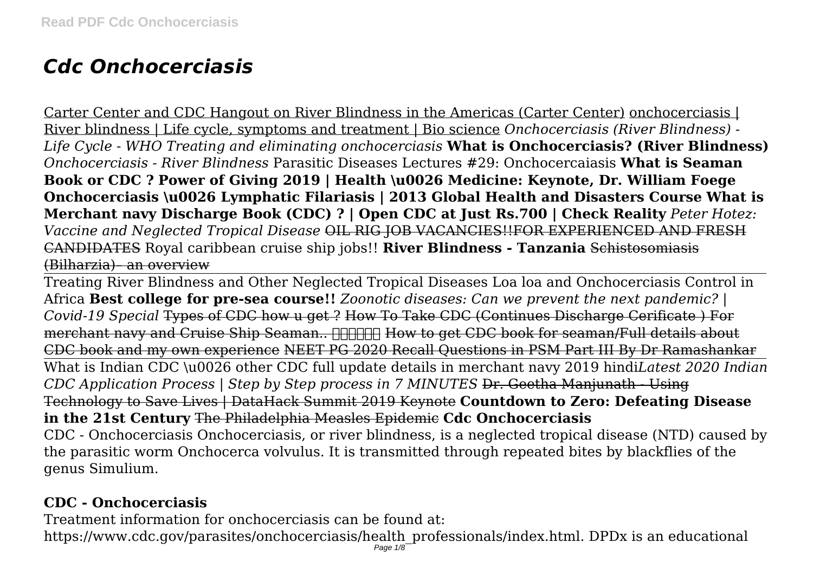# *Cdc Onchocerciasis*

Carter Center and CDC Hangout on River Blindness in the Americas (Carter Center) onchocerciasis | River blindness | Life cycle, symptoms and treatment | Bio science *Onchocerciasis (River Blindness) - Life Cycle - WHO Treating and eliminating onchocerciasis* **What is Onchocerciasis? (River Blindness)** *Onchocerciasis - River Blindness* Parasitic Diseases Lectures #29: Onchocercaiasis **What is Seaman Book or CDC ? Power of Giving 2019 | Health \u0026 Medicine: Keynote, Dr. William Foege Onchocerciasis \u0026 Lymphatic Filariasis | 2013 Global Health and Disasters Course What is Merchant navy Discharge Book (CDC) ? | Open CDC at Just Rs.700 | Check Reality** *Peter Hotez: Vaccine and Neglected Tropical Disease* OIL RIG JOB VACANCIES!!FOR EXPERIENCED AND FRESH CANDIDATES Royal caribbean cruise ship jobs!! **River Blindness - Tanzania** Schistosomiasis (Bilharzia)– an overview

Treating River Blindness and Other Neglected Tropical Diseases Loa loa and Onchocerciasis Control in Africa **Best college for pre-sea course!!** *Zoonotic diseases: Can we prevent the next pandemic? | Covid-19 Special* Types of CDC how u get ? How To Take CDC (Continues Discharge Cerificate ) For merchant navy and Cruise Ship Seaman.. **MINIM How to get CDC book for seaman/Full details about** CDC book and my own experience NEET PG 2020 Recall Questions in PSM Part III By Dr Ramashankar What is Indian CDC \u0026 other CDC full update details in merchant navy 2019 hindi*Latest 2020 Indian CDC Application Process | Step by Step process in 7 MINUTES* Dr. Geetha Manjunath - Using Technology to Save Lives | DataHack Summit 2019 Keynote **Countdown to Zero: Defeating Disease in the 21st Century** The Philadelphia Measles Epidemic **Cdc Onchocerciasis** CDC - Onchocerciasis Onchocerciasis, or river blindness, is a neglected tropical disease (NTD) caused by the parasitic worm Onchocerca volvulus. It is transmitted through repeated bites by blackflies of the genus Simulium.

# **CDC - Onchocerciasis**

Treatment information for onchocerciasis can be found at:

https://www.cdc.gov/parasites/onchocerciasis/health\_professionals/index.html. DPDx is an educational Page 1/8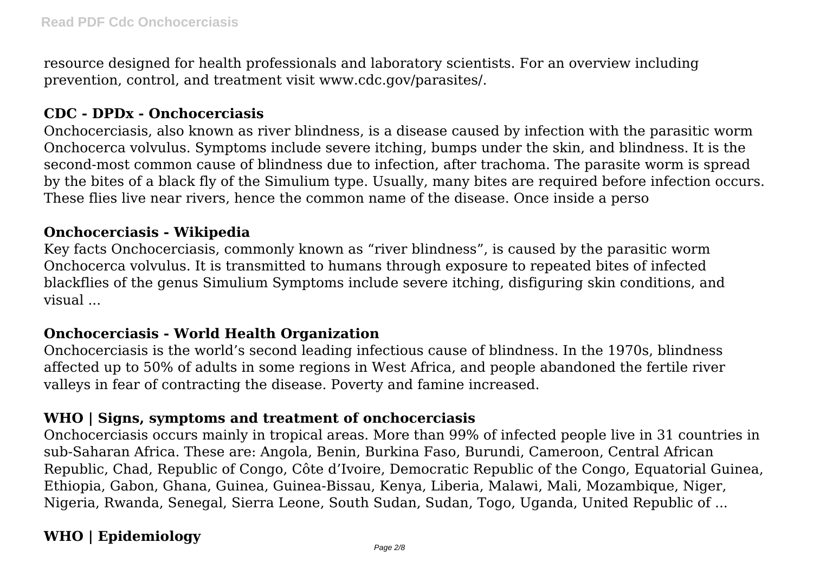resource designed for health professionals and laboratory scientists. For an overview including prevention, control, and treatment visit www.cdc.gov/parasites/.

#### **CDC - DPDx - Onchocerciasis**

Onchocerciasis, also known as river blindness, is a disease caused by infection with the parasitic worm Onchocerca volvulus. Symptoms include severe itching, bumps under the skin, and blindness. It is the second-most common cause of blindness due to infection, after trachoma. The parasite worm is spread by the bites of a black fly of the Simulium type. Usually, many bites are required before infection occurs. These flies live near rivers, hence the common name of the disease. Once inside a perso

#### **Onchocerciasis - Wikipedia**

Key facts Onchocerciasis, commonly known as "river blindness", is caused by the parasitic worm Onchocerca volvulus. It is transmitted to humans through exposure to repeated bites of infected blackflies of the genus Simulium Symptoms include severe itching, disfiguring skin conditions, and visual ...

#### **Onchocerciasis - World Health Organization**

Onchocerciasis is the world's second leading infectious cause of blindness. In the 1970s, blindness affected up to 50% of adults in some regions in West Africa, and people abandoned the fertile river valleys in fear of contracting the disease. Poverty and famine increased.

#### **WHO | Signs, symptoms and treatment of onchocerciasis**

Onchocerciasis occurs mainly in tropical areas. More than 99% of infected people live in 31 countries in sub-Saharan Africa. These are: Angola, Benin, Burkina Faso, Burundi, Cameroon, Central African Republic, Chad, Republic of Congo, Côte d'Ivoire, Democratic Republic of the Congo, Equatorial Guinea, Ethiopia, Gabon, Ghana, Guinea, Guinea-Bissau, Kenya, Liberia, Malawi, Mali, Mozambique, Niger, Nigeria, Rwanda, Senegal, Sierra Leone, South Sudan, Sudan, Togo, Uganda, United Republic of ...

# **WHO | Epidemiology**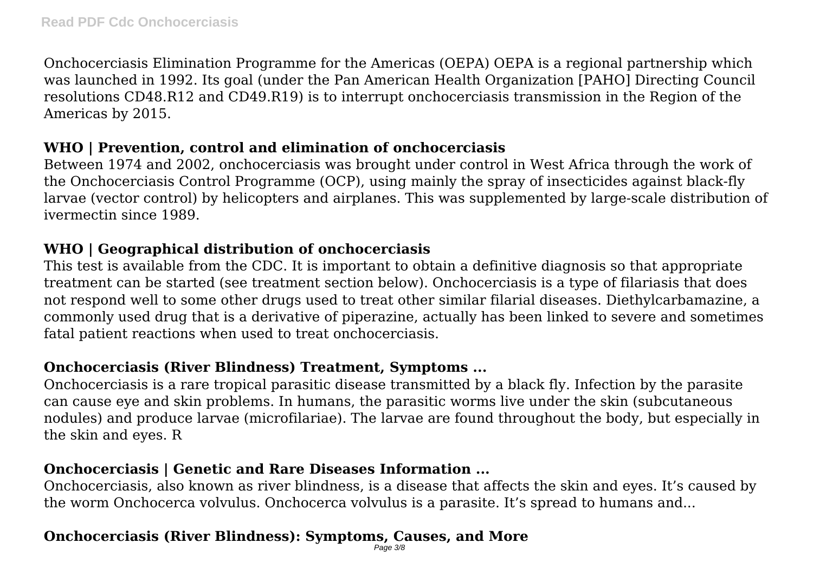Onchocerciasis Elimination Programme for the Americas (OEPA) OEPA is a regional partnership which was launched in 1992. Its goal (under the Pan American Health Organization [PAHO] Directing Council resolutions CD48.R12 and CD49.R19) is to interrupt onchocerciasis transmission in the Region of the Americas by 2015.

#### **WHO | Prevention, control and elimination of onchocerciasis**

Between 1974 and 2002, onchocerciasis was brought under control in West Africa through the work of the Onchocerciasis Control Programme (OCP), using mainly the spray of insecticides against black-fly larvae (vector control) by helicopters and airplanes. This was supplemented by large-scale distribution of ivermectin since 1989.

#### **WHO | Geographical distribution of onchocerciasis**

This test is available from the CDC. It is important to obtain a definitive diagnosis so that appropriate treatment can be started (see treatment section below). Onchocerciasis is a type of filariasis that does not respond well to some other drugs used to treat other similar filarial diseases. Diethylcarbamazine, a commonly used drug that is a derivative of piperazine, actually has been linked to severe and sometimes fatal patient reactions when used to treat onchocerciasis.

# **Onchocerciasis (River Blindness) Treatment, Symptoms ...**

Onchocerciasis is a rare tropical parasitic disease transmitted by a black fly. Infection by the parasite can cause eye and skin problems. In humans, the parasitic worms live under the skin (subcutaneous nodules) and produce larvae (microfilariae). The larvae are found throughout the body, but especially in the skin and eyes. R

# **Onchocerciasis | Genetic and Rare Diseases Information ...**

Onchocerciasis, also known as river blindness, is a disease that affects the skin and eyes. It's caused by the worm Onchocerca volvulus. Onchocerca volvulus is a parasite. It's spread to humans and...

#### **Onchocerciasis (River Blindness): Symptoms, Causes, and More** Page 3/8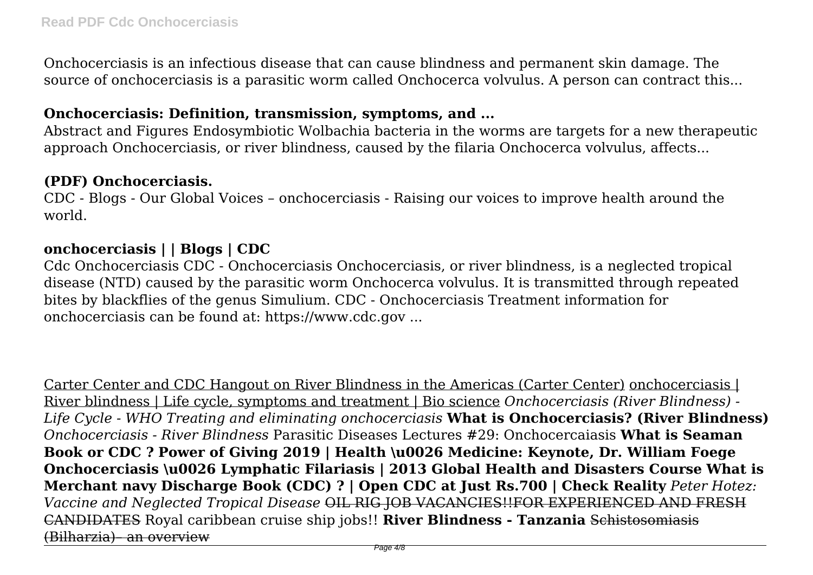Onchocerciasis is an infectious disease that can cause blindness and permanent skin damage. The source of onchocerciasis is a parasitic worm called Onchocerca volvulus. A person can contract this...

#### **Onchocerciasis: Definition, transmission, symptoms, and ...**

Abstract and Figures Endosymbiotic Wolbachia bacteria in the worms are targets for a new therapeutic approach Onchocerciasis, or river blindness, caused by the filaria Onchocerca volvulus, affects...

#### **(PDF) Onchocerciasis.**

CDC - Blogs - Our Global Voices – onchocerciasis - Raising our voices to improve health around the world.

#### **onchocerciasis | | Blogs | CDC**

Cdc Onchocerciasis CDC - Onchocerciasis Onchocerciasis, or river blindness, is a neglected tropical disease (NTD) caused by the parasitic worm Onchocerca volvulus. It is transmitted through repeated bites by blackflies of the genus Simulium. CDC - Onchocerciasis Treatment information for onchocerciasis can be found at: https://www.cdc.gov ...

Carter Center and CDC Hangout on River Blindness in the Americas (Carter Center) onchocerciasis | River blindness | Life cycle, symptoms and treatment | Bio science *Onchocerciasis (River Blindness) - Life Cycle - WHO Treating and eliminating onchocerciasis* **What is Onchocerciasis? (River Blindness)** *Onchocerciasis - River Blindness* Parasitic Diseases Lectures #29: Onchocercaiasis **What is Seaman Book or CDC ? Power of Giving 2019 | Health \u0026 Medicine: Keynote, Dr. William Foege Onchocerciasis \u0026 Lymphatic Filariasis | 2013 Global Health and Disasters Course What is Merchant navy Discharge Book (CDC) ? | Open CDC at Just Rs.700 | Check Reality** *Peter Hotez: Vaccine and Neglected Tropical Disease* OIL RIG JOB VACANCIES!!FOR EXPERIENCED AND FRESH CANDIDATES Royal caribbean cruise ship jobs!! **River Blindness - Tanzania** Schistosomiasis (Bilharzia)– an overview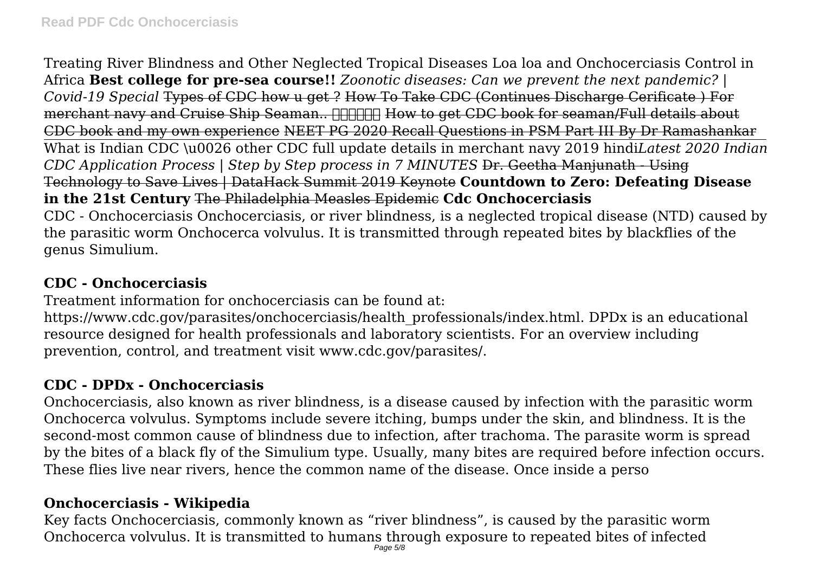Treating River Blindness and Other Neglected Tropical Diseases Loa loa and Onchocerciasis Control in Africa **Best college for pre-sea course!!** *Zoonotic diseases: Can we prevent the next pandemic? | Covid-19 Special* Types of CDC how u get ? How To Take CDC (Continues Discharge Cerificate ) For merchant navy and Cruise Ship Seaman.. **MINIM How to get CDC book for seaman/Full details about** CDC book and my own experience NEET PG 2020 Recall Questions in PSM Part III By Dr Ramashankar What is Indian CDC \u0026 other CDC full update details in merchant navy 2019 hindi*Latest 2020 Indian CDC Application Process | Step by Step process in 7 MINUTES* Dr. Geetha Manjunath - Using Technology to Save Lives | DataHack Summit 2019 Keynote **Countdown to Zero: Defeating Disease in the 21st Century** The Philadelphia Measles Epidemic **Cdc Onchocerciasis** CDC - Onchocerciasis Onchocerciasis, or river blindness, is a neglected tropical disease (NTD) caused by the parasitic worm Onchocerca volvulus. It is transmitted through repeated bites by blackflies of the genus Simulium.

#### **CDC - Onchocerciasis**

Treatment information for onchocerciasis can be found at:

https://www.cdc.gov/parasites/onchocerciasis/health\_professionals/index.html. DPDx is an educational resource designed for health professionals and laboratory scientists. For an overview including prevention, control, and treatment visit www.cdc.gov/parasites/.

# **CDC - DPDx - Onchocerciasis**

Onchocerciasis, also known as river blindness, is a disease caused by infection with the parasitic worm Onchocerca volvulus. Symptoms include severe itching, bumps under the skin, and blindness. It is the second-most common cause of blindness due to infection, after trachoma. The parasite worm is spread by the bites of a black fly of the Simulium type. Usually, many bites are required before infection occurs. These flies live near rivers, hence the common name of the disease. Once inside a perso

# **Onchocerciasis - Wikipedia**

Key facts Onchocerciasis, commonly known as "river blindness", is caused by the parasitic worm Onchocerca volvulus. It is transmitted to humans through exposure to repeated bites of infected  $\frac{1}{\text{Page 5/8}}$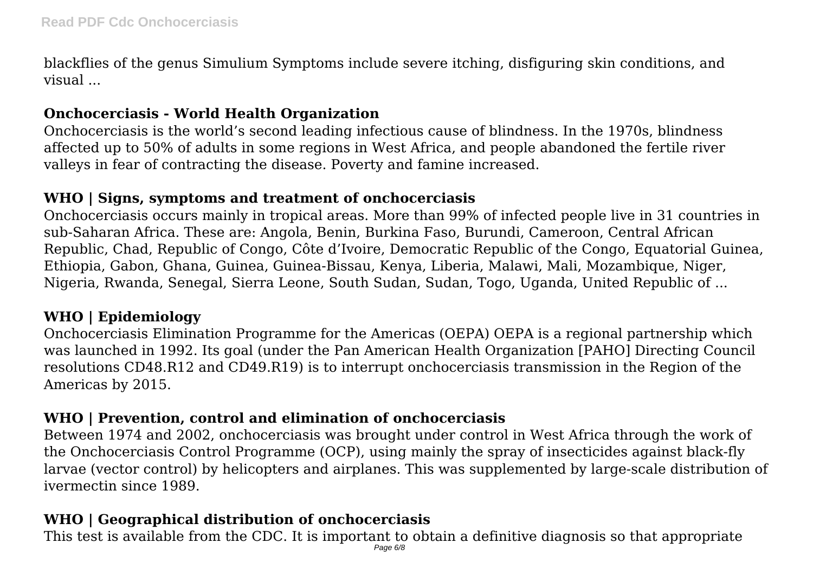blackflies of the genus Simulium Symptoms include severe itching, disfiguring skin conditions, and visual

# **Onchocerciasis - World Health Organization**

Onchocerciasis is the world's second leading infectious cause of blindness. In the 1970s, blindness affected up to 50% of adults in some regions in West Africa, and people abandoned the fertile river valleys in fear of contracting the disease. Poverty and famine increased.

#### **WHO | Signs, symptoms and treatment of onchocerciasis**

Onchocerciasis occurs mainly in tropical areas. More than 99% of infected people live in 31 countries in sub-Saharan Africa. These are: Angola, Benin, Burkina Faso, Burundi, Cameroon, Central African Republic, Chad, Republic of Congo, Côte d'Ivoire, Democratic Republic of the Congo, Equatorial Guinea, Ethiopia, Gabon, Ghana, Guinea, Guinea-Bissau, Kenya, Liberia, Malawi, Mali, Mozambique, Niger, Nigeria, Rwanda, Senegal, Sierra Leone, South Sudan, Sudan, Togo, Uganda, United Republic of ...

# **WHO | Epidemiology**

Onchocerciasis Elimination Programme for the Americas (OEPA) OEPA is a regional partnership which was launched in 1992. Its goal (under the Pan American Health Organization [PAHO] Directing Council resolutions CD48.R12 and CD49.R19) is to interrupt onchocerciasis transmission in the Region of the Americas by 2015.

# **WHO | Prevention, control and elimination of onchocerciasis**

Between 1974 and 2002, onchocerciasis was brought under control in West Africa through the work of the Onchocerciasis Control Programme (OCP), using mainly the spray of insecticides against black-fly larvae (vector control) by helicopters and airplanes. This was supplemented by large-scale distribution of ivermectin since 1989.

# **WHO | Geographical distribution of onchocerciasis**

This test is available from the CDC. It is important to obtain a definitive diagnosis so that appropriate  $\rho_{\sf age\,6\ell\theta}$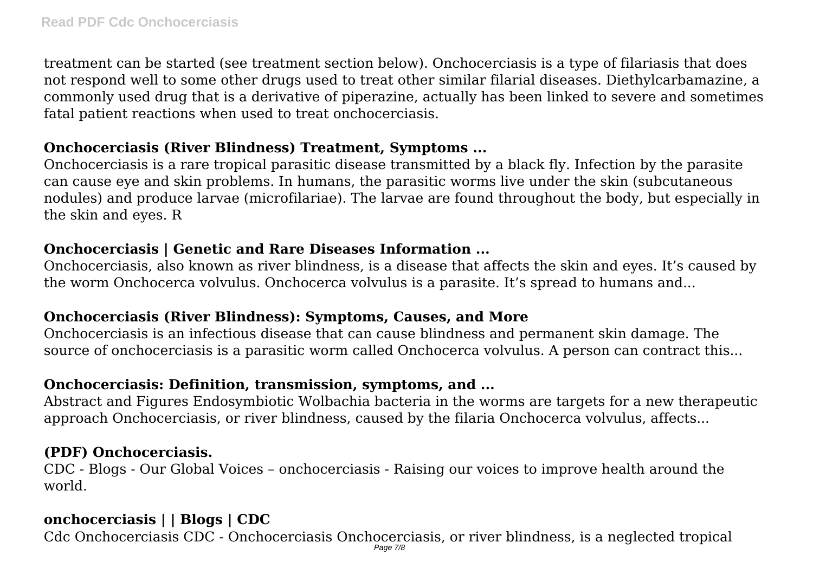treatment can be started (see treatment section below). Onchocerciasis is a type of filariasis that does not respond well to some other drugs used to treat other similar filarial diseases. Diethylcarbamazine, a commonly used drug that is a derivative of piperazine, actually has been linked to severe and sometimes fatal patient reactions when used to treat onchocerciasis.

#### **Onchocerciasis (River Blindness) Treatment, Symptoms ...**

Onchocerciasis is a rare tropical parasitic disease transmitted by a black fly. Infection by the parasite can cause eye and skin problems. In humans, the parasitic worms live under the skin (subcutaneous nodules) and produce larvae (microfilariae). The larvae are found throughout the body, but especially in the skin and eyes. R

#### **Onchocerciasis | Genetic and Rare Diseases Information ...**

Onchocerciasis, also known as river blindness, is a disease that affects the skin and eyes. It's caused by the worm Onchocerca volvulus. Onchocerca volvulus is a parasite. It's spread to humans and...

# **Onchocerciasis (River Blindness): Symptoms, Causes, and More**

Onchocerciasis is an infectious disease that can cause blindness and permanent skin damage. The source of onchocerciasis is a parasitic worm called Onchocerca volvulus. A person can contract this...

#### **Onchocerciasis: Definition, transmission, symptoms, and ...**

Abstract and Figures Endosymbiotic Wolbachia bacteria in the worms are targets for a new therapeutic approach Onchocerciasis, or river blindness, caused by the filaria Onchocerca volvulus, affects...

# **(PDF) Onchocerciasis.**

CDC - Blogs - Our Global Voices – onchocerciasis - Raising our voices to improve health around the world.

# **onchocerciasis | | Blogs | CDC**

Cdc Onchocerciasis CDC - Onchocerciasis Onchocerciasis, or river blindness, is a neglected tropical Page 7/8